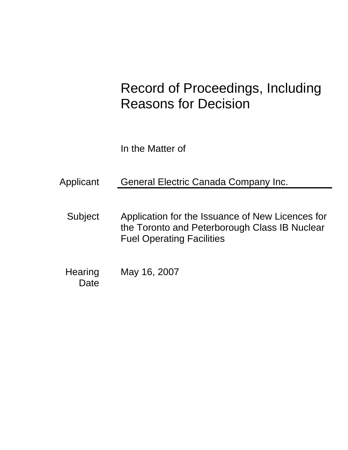# Record of Proceedings, Including Reasons for Decision

In the Matter of

Applicant General Electric Canada Company Inc.

Subject Application for the Issuance of New Licences for the Toronto and Peterborough Class IB Nuclear Fuel Operating Facilities

**Hearing Date** May 16, 2007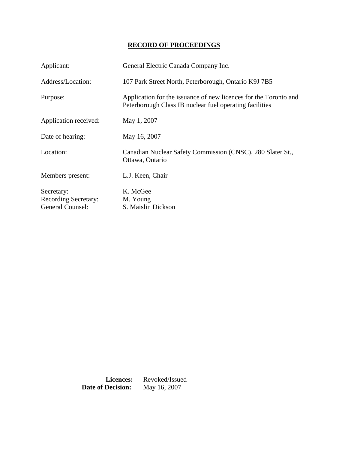# **RECORD OF PROCEEDINGS**

| Applicant:                  | General Electric Canada Company Inc.                                                                                        |
|-----------------------------|-----------------------------------------------------------------------------------------------------------------------------|
| Address/Location:           | 107 Park Street North, Peterborough, Ontario K9J 7B5                                                                        |
| Purpose:                    | Application for the issuance of new licences for the Toronto and<br>Peterborough Class IB nuclear fuel operating facilities |
| Application received:       | May 1, 2007                                                                                                                 |
| Date of hearing:            | May 16, 2007                                                                                                                |
| Location:                   | Canadian Nuclear Safety Commission (CNSC), 280 Slater St.,<br>Ottawa, Ontario                                               |
| Members present:            | L.J. Keen, Chair                                                                                                            |
| Secretary:                  | K. McGee                                                                                                                    |
| <b>Recording Secretary:</b> | M. Young                                                                                                                    |
| General Counsel:            | S. Maislin Dickson                                                                                                          |

**Licences:** Revoked/Issued<br>**Decision:** May 16, 2007 **Date of Decision:**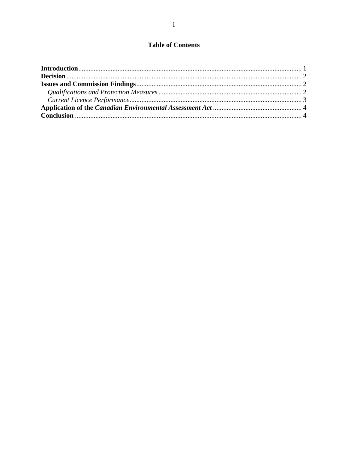# **Table of Contents**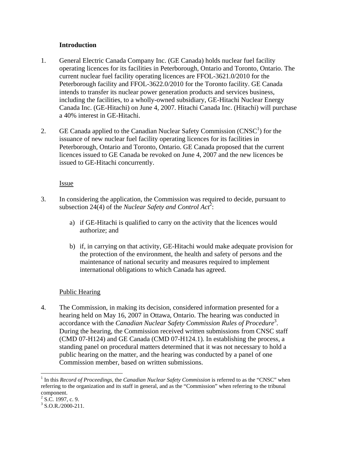#### **Introduction**

- 1. General Electric Canada Company Inc. (GE Canada) holds nuclear fuel facility operating licences for its facilities in Peterborough, Ontario and Toronto, Ontario. The current nuclear fuel facility operating licences are FFOL-3621.0/2010 for the Peterborough facility and FFOL-3622.0/2010 for the Toronto facility. GE Canada intends to transfer its nuclear power generation products and services business, including the facilities, to a wholly-owned subsidiary, GE-Hitachi Nuclear Energy Canada Inc. (GE-Hitachi) on June 4, 2007. Hitachi Canada Inc. (Hitachi) will purchase a 40% interest in GE-Hitachi.
- 2. GE Canada applied to the Canadian Nuclear Safety Commission  $(CNSC<sup>1</sup>)$  for the issuance of new nuclear fuel facility operating licences for its facilities in Peterborough, Ontario and Toronto, Ontario. GE Canada proposed that the current licences issued to GE Canada be revoked on June 4, 2007 and the new licences be issued to GE-Hitachi concurrently.

#### **Issue**

- 3. In considering the application, the Commission was required to decide, pursuant to subsection 24(4) of the *Nuclear Safety and Control Act*<sup>2</sup>:
	- a) if GE-Hitachi is qualified to carry on the activity that the licences would authorize; and
	- b) if, in carrying on that activity, GE-Hitachi would make adequate provision for the protection of the environment, the health and safety of persons and the maintenance of national security and measures required to implement international obligations to which Canada has agreed.

# Public Hearing

4. The Commission, in making its decision, considered information presented for a hearing held on May 16, 2007 in Ottawa, Ontario. The hearing was conducted in accordance with the *Canadian Nuclear Safety Commission Rules of Procedure*<sup>3</sup>. During the hearing, the Commission received written submissions from CNSC staff (CMD 07-H124) and GE Canada (CMD 07-H124.1). In establishing the process, a standing panel on procedural matters determined that it was not necessary to hold a public hearing on the matter, and the hearing was conducted by a panel of one Commission member, based on written submissions.

 $\overline{a}$ 

<sup>&</sup>lt;sup>1</sup> In this *Record of Proceedings*, the *Canadian Nuclear Safety Commission* is referred to as the "CNSC" when referring to the organization and its staff in general, and as the "Commission" when referring to the tribunal component.

 $2$  S.C. 1997, c. 9.

 $3$  S.O.R./2000-211.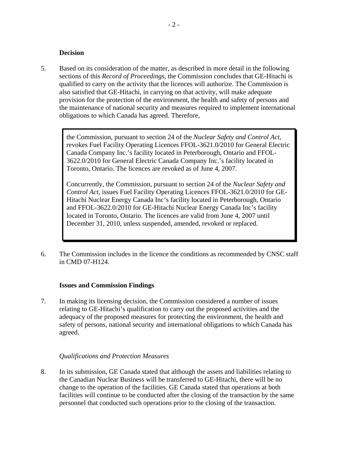#### **Decision**

5. Based on its consideration of the matter, as described in more detail in the following sections of this *Record of Proceedings*, the Commission concludes that GE-Hitachi is qualified to carry on the activity that the licences will authorize. The Commission is also satisfied that GE-Hitachi, in carrying on that activity, will make adequate provision for the protection of the environment, the health and safety of persons and the maintenance of national security and measures required to implement international obligations to which Canada has agreed. Therefore,

> the Commission, pursuant to section 24 of the *Nuclear Safety and Control Act*, revokes Fuel Facility Operating Licences FFOL-3621.0/2010 for General Electric Canada Company Inc.'s facility located in Peterborough, Ontario and FFOL-3622.0/2010 for General Electric Canada Company Inc.'s facility located in Toronto, Ontario. The licences are revoked as of June 4, 2007.

Concurrently, the Commission, pursuant to section 24 of the *Nuclear Safety and Control Act*, issues Fuel Facility Operating Licences FFOL-3621.0/2010 for GE-Hitachi Nuclear Energy Canada Inc's facility located in Peterborough, Ontario and FFOL-3622.0/2010 for GE-Hitachi Nuclear Energy Canada Inc's facility located in Toronto, Ontario. The licences are valid from June 4, 2007 until December 31, 2010, unless suspended, amended, revoked or replaced.

6. The Commission includes in the licence the conditions as recommended by CNSC staff in CMD 07-H124.

#### **Issues and Commission Findings**

7. In making its licensing decision, the Commission considered a number of issues relating to GE-Hitachi's qualification to carry out the proposed activities and the adequacy of the proposed measures for protecting the environment, the health and safety of persons, national security and international obligations to which Canada has agreed.

# *Qualifications and Protection Measures*

8. In its submission, GE Canada stated that although the assets and liabilities relating to the Canadian Nuclear Business will be transferred to GE-Hitachi, there will be no change to the operation of the facilities. GE Canada stated that operations at both facilities will continue to be conducted after the closing of the transaction by the same personnel that conducted such operations prior to the closing of the transaction.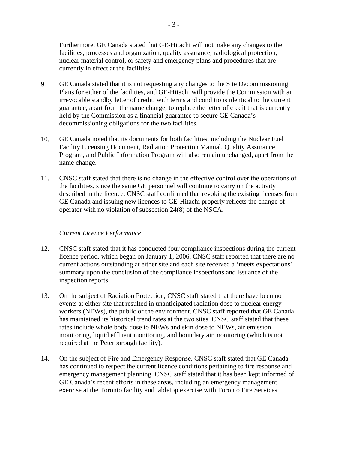Furthermore, GE Canada stated that GE-Hitachi will not make any changes to the facilities, processes and organization, quality assurance, radiological protection, nuclear material control, or safety and emergency plans and procedures that are currently in effect at the facilities.

- 9. GE Canada stated that it is not requesting any changes to the Site Decommissioning Plans for either of the facilities, and GE-Hitachi will provide the Commission with an irrevocable standby letter of credit, with terms and conditions identical to the current guarantee, apart from the name change, to replace the letter of credit that is currently held by the Commission as a financial guarantee to secure GE Canada's decommissioning obligations for the two facilities.
- 10. GE Canada noted that its documents for both facilities, including the Nuclear Fuel Facility Licensing Document, Radiation Protection Manual, Quality Assurance Program, and Public Information Program will also remain unchanged, apart from the name change.
- 11. CNSC staff stated that there is no change in the effective control over the operations of the facilities, since the same GE personnel will continue to carry on the activity described in the licence. CNSC staff confirmed that revoking the existing licenses from GE Canada and issuing new licences to GE-Hitachi properly reflects the change of operator with no violation of subsection 24(8) of the NSCA.

#### *Current Licence Performance*

- 12. CNSC staff stated that it has conducted four compliance inspections during the current licence period, which began on January 1, 2006. CNSC staff reported that there are no current actions outstanding at either site and each site received a 'meets expectations' summary upon the conclusion of the compliance inspections and issuance of the inspection reports.
- 13. On the subject of Radiation Protection, CNSC staff stated that there have been no events at either site that resulted in unanticipated radiation dose to nuclear energy workers (NEWs), the public or the environment. CNSC staff reported that GE Canada has maintained its historical trend rates at the two sites. CNSC staff stated that these rates include whole body dose to NEWs and skin dose to NEWs, air emission monitoring, liquid effluent monitoring, and boundary air monitoring (which is not required at the Peterborough facility).
- 14. On the subject of Fire and Emergency Response, CNSC staff stated that GE Canada has continued to respect the current licence conditions pertaining to fire response and emergency management planning. CNSC staff stated that it has been kept informed of GE Canada's recent efforts in these areas, including an emergency management exercise at the Toronto facility and tabletop exercise with Toronto Fire Services.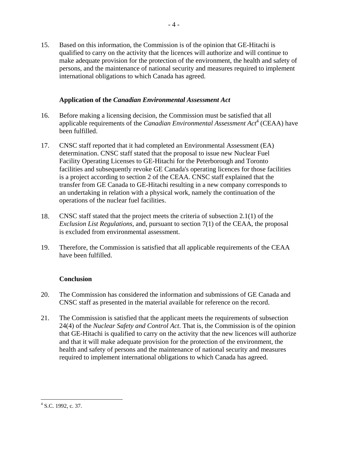15. Based on this information, the Commission is of the opinion that GE-Hitachi is qualified to carry on the activity that the licences will authorize and will continue to make adequate provision for the protection of the environment, the health and safety of persons, and the maintenance of national security and measures required to implement international obligations to which Canada has agreed.

# **Application of the** *Canadian Environmental Assessment Act*

- 16. Before making a licensing decision, the Commission must be satisfied that all applicable requirements of the *Canadian Environmental Assessment Act*<sup>4</sup> (CEAA) have been fulfilled.
- 17. CNSC staff reported that it had completed an Environmental Assessment (EA) determination. CNSC staff stated that the proposal to issue new Nuclear Fuel Facility Operating Licenses to GE-Hitachi for the Peterborough and Toronto facilities and subsequently revoke GE Canada's operating licences for those facilities is a project according to section 2 of the CEAA. CNSC staff explained that the transfer from GE Canada to GE-Hitachi resulting in a new company corresponds to an undertaking in relation with a physical work, namely the continuation of the operations of the nuclear fuel facilities.
- 18. CNSC staff stated that the project meets the criteria of subsection 2.1(1) of the *Exclusion List Regulations,* and, pursuant to section 7(1) of the CEAA, the proposal is excluded from environmental assessment.
- 19. Therefore, the Commission is satisfied that all applicable requirements of the CEAA have been fulfilled.

# **Conclusion**

- 20. The Commission has considered the information and submissions of GE Canada and CNSC staff as presented in the material available for reference on the record.
- 21. The Commission is satisfied that the applicant meets the requirements of subsection 24(4) of the *Nuclear Safety and Control Act*. That is, the Commission is of the opinion that GE-Hitachi is qualified to carry on the activity that the new licences will authorize and that it will make adequate provision for the protection of the environment, the health and safety of persons and the maintenance of national security and measures required to implement international obligations to which Canada has agreed.

 $\overline{a}$ <sup>4</sup> S.C. 1992, c. 37.